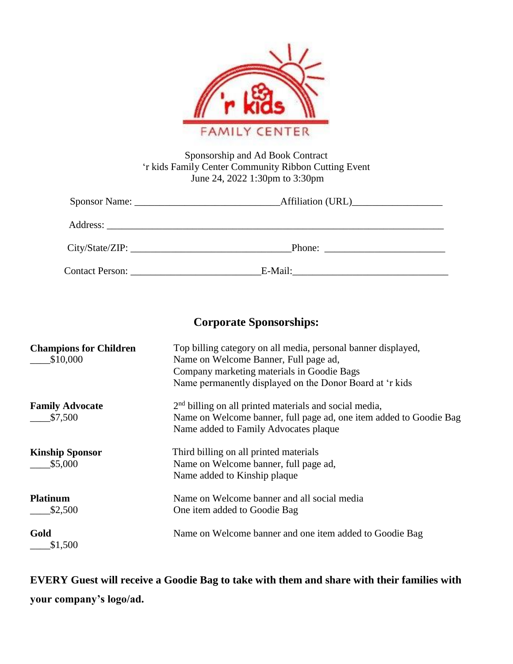

| Sponsorship and Ad Book Contract                     |
|------------------------------------------------------|
| 'r kids Family Center Community Ribbon Cutting Event |
| June 24, 2022 1:30pm to 3:30pm                       |

|                 | Affiliation (URL) |  |  |
|-----------------|-------------------|--|--|
|                 |                   |  |  |
| City/State/ZIP: |                   |  |  |
|                 | E-Mail:           |  |  |

## **Corporate Sponsorships:**

| <b>Champions for Children</b><br>\$10,000 | Top billing category on all media, personal banner displayed,<br>Name on Welcome Banner, Full page ad,<br>Company marketing materials in Goodie Bags<br>Name permanently displayed on the Donor Board at 'r kids |
|-------------------------------------------|------------------------------------------------------------------------------------------------------------------------------------------------------------------------------------------------------------------|
| <b>Family Advocate</b><br>\$7,500         | $2nd$ billing on all printed materials and social media,<br>Name on Welcome banner, full page ad, one item added to Goodie Bag<br>Name added to Family Advocates plaque                                          |
| <b>Kinship Sponsor</b><br>\$5,000         | Third billing on all printed materials<br>Name on Welcome banner, full page ad,<br>Name added to Kinship plaque                                                                                                  |
| <b>Platinum</b><br>\$2,500                | Name on Welcome banner and all social media<br>One item added to Goodie Bag                                                                                                                                      |
| Gold<br>\$1,500                           | Name on Welcome banner and one item added to Goodie Bag                                                                                                                                                          |

**EVERY Guest will receive a Goodie Bag to take with them and share with their families with your company's logo/ad.**